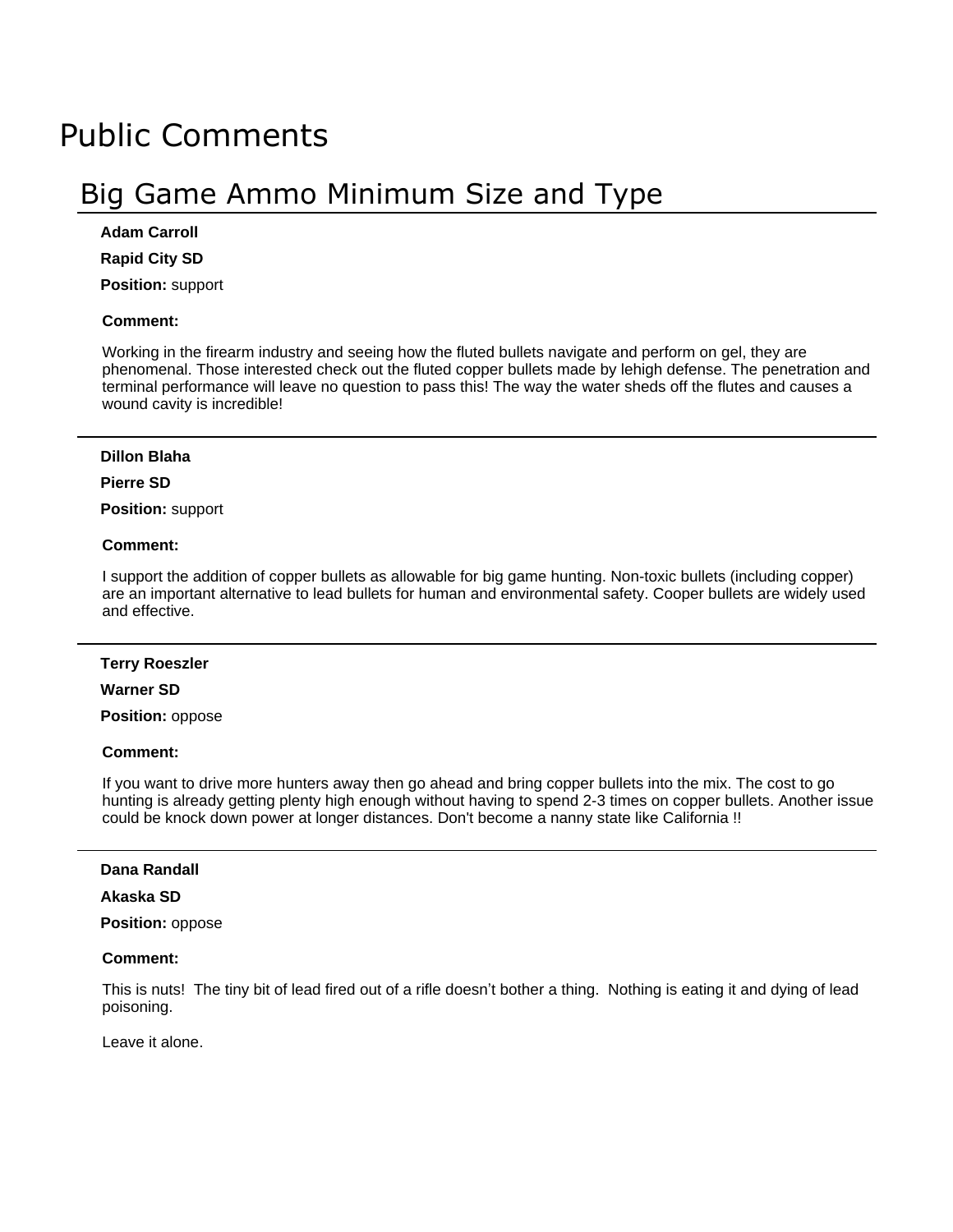# Public Comments

# Big Game Ammo Minimum Size and Type

## **Adam Carroll**

**Rapid City SD**

**Position:** support

#### **Comment:**

Working in the firearm industry and seeing how the fluted bullets navigate and perform on gel, they are phenomenal. Those interested check out the fluted copper bullets made by lehigh defense. The penetration and terminal performance will leave no question to pass this! The way the water sheds off the flutes and causes a wound cavity is incredible!

#### **Dillon Blaha**

# **Pierre SD**

**Position:** support

#### **Comment:**

I support the addition of copper bullets as allowable for big game hunting. Non-toxic bullets (including copper) are an important alternative to lead bullets for human and environmental safety. Cooper bullets are widely used and effective.

#### **Terry Roeszler**

#### **Warner SD**

**Position:** oppose

#### **Comment:**

If you want to drive more hunters away then go ahead and bring copper bullets into the mix. The cost to go hunting is already getting plenty high enough without having to spend 2-3 times on copper bullets. Another issue could be knock down power at longer distances. Don't become a nanny state like California !!

#### **Dana Randall**

#### **Akaska SD**

**Position:** oppose

## **Comment:**

This is nuts! The tiny bit of lead fired out of a rifle doesn't bother a thing. Nothing is eating it and dying of lead poisoning.

Leave it alone.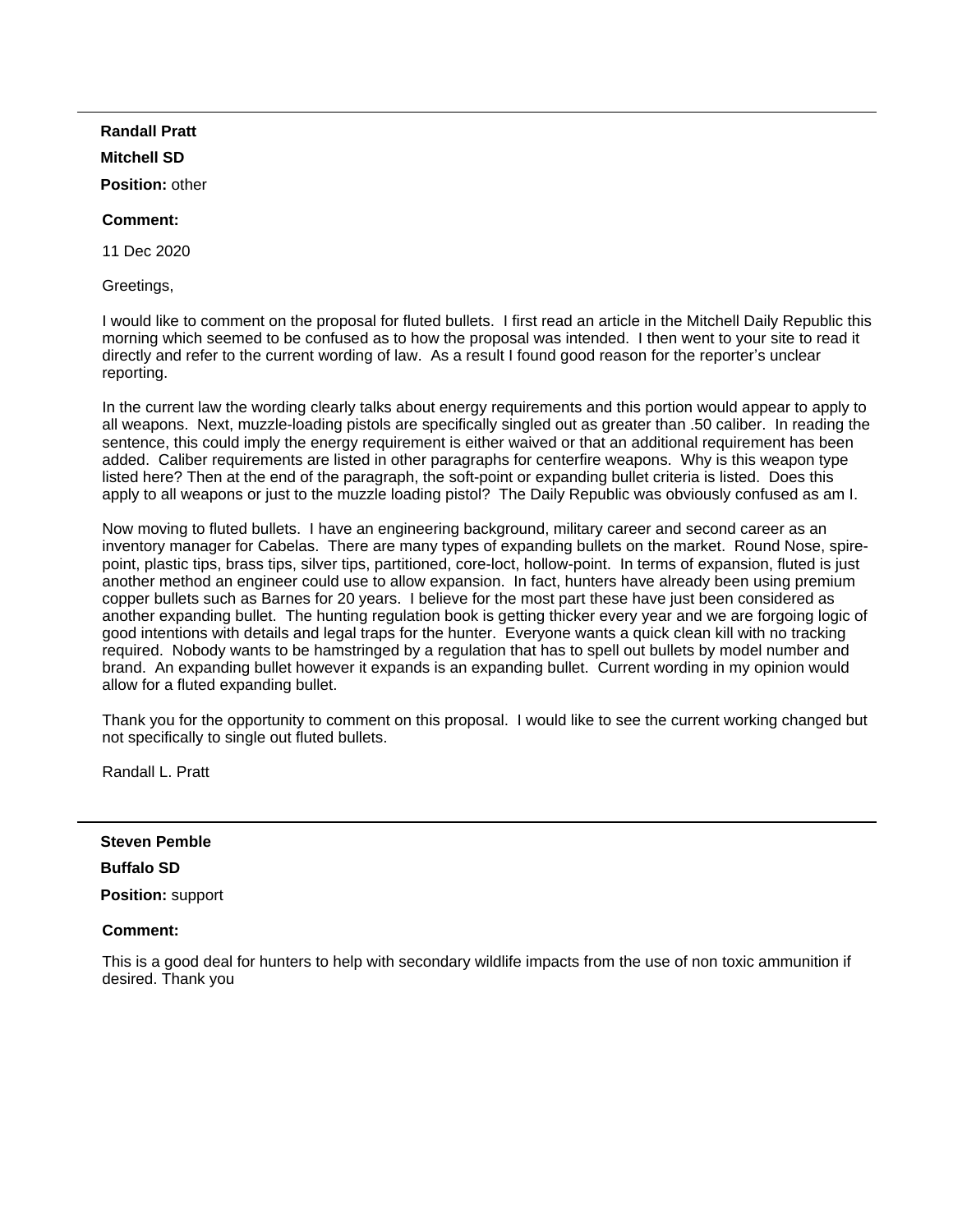# **Randall Pratt**

# **Mitchell SD**

**Position:** other

# **Comment:**

11 Dec 2020

Greetings,

I would like to comment on the proposal for fluted bullets. I first read an article in the Mitchell Daily Republic this morning which seemed to be confused as to how the proposal was intended. I then went to your site to read it directly and refer to the current wording of law. As a result I found good reason for the reporter's unclear reporting.

In the current law the wording clearly talks about energy requirements and this portion would appear to apply to all weapons. Next, muzzle-loading pistols are specifically singled out as greater than .50 caliber. In reading the sentence, this could imply the energy requirement is either waived or that an additional requirement has been added. Caliber requirements are listed in other paragraphs for centerfire weapons. Why is this weapon type listed here? Then at the end of the paragraph, the soft-point or expanding bullet criteria is listed. Does this apply to all weapons or just to the muzzle loading pistol? The Daily Republic was obviously confused as am I.

Now moving to fluted bullets. I have an engineering background, military career and second career as an inventory manager for Cabelas. There are many types of expanding bullets on the market. Round Nose, spirepoint, plastic tips, brass tips, silver tips, partitioned, core-loct, hollow-point. In terms of expansion, fluted is just another method an engineer could use to allow expansion. In fact, hunters have already been using premium copper bullets such as Barnes for 20 years. I believe for the most part these have just been considered as another expanding bullet. The hunting regulation book is getting thicker every year and we are forgoing logic of good intentions with details and legal traps for the hunter. Everyone wants a quick clean kill with no tracking required. Nobody wants to be hamstringed by a regulation that has to spell out bullets by model number and brand. An expanding bullet however it expands is an expanding bullet. Current wording in my opinion would allow for a fluted expanding bullet.

Thank you for the opportunity to comment on this proposal. I would like to see the current working changed but not specifically to single out fluted bullets.

Randall L. Pratt

# **Steven Pemble**

# **Buffalo SD**

**Position:** support

# **Comment:**

This is a good deal for hunters to help with secondary wildlife impacts from the use of non toxic ammunition if desired. Thank you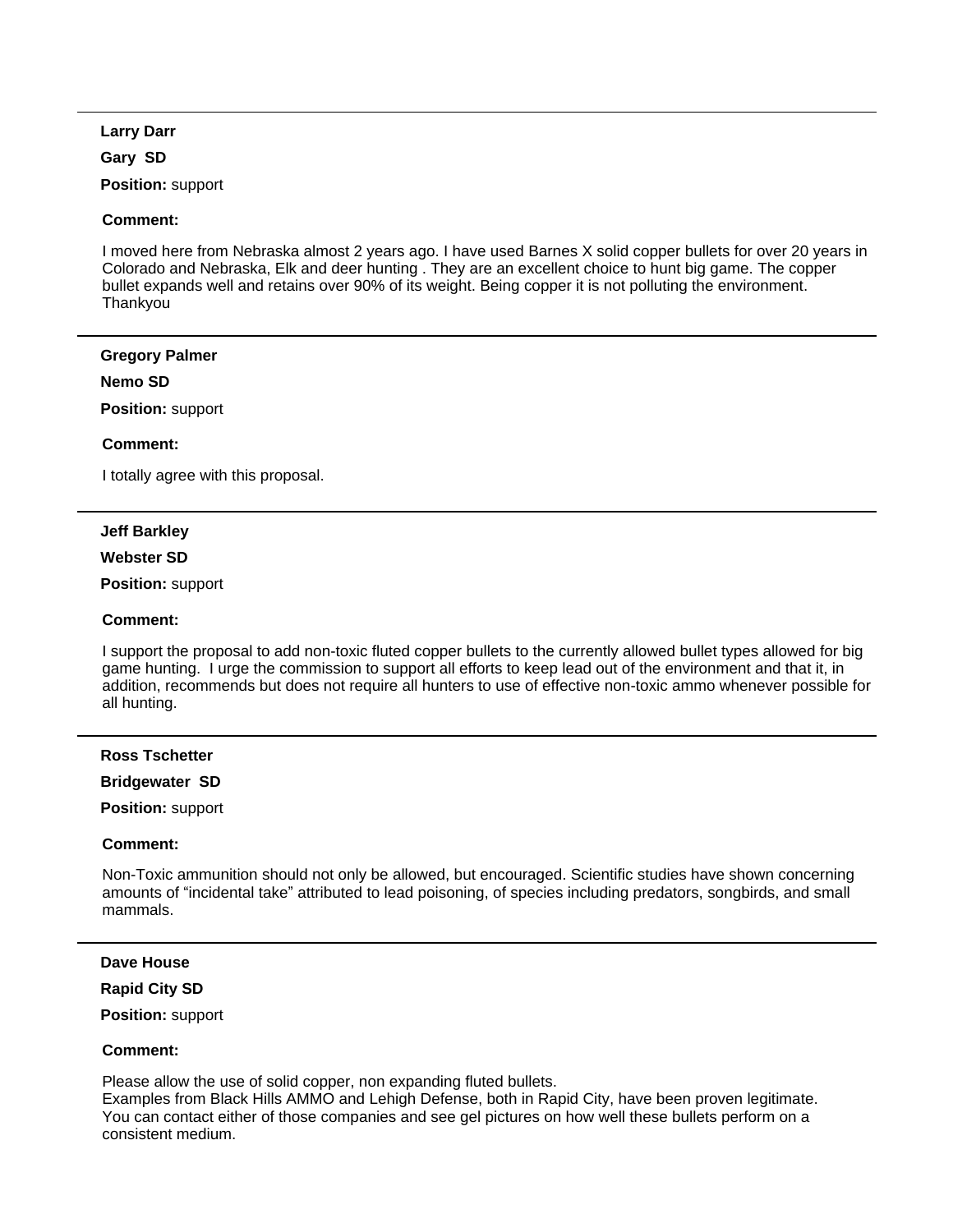## **Larry Darr**

## **Gary SD**

**Position:** support

## **Comment:**

I moved here from Nebraska almost 2 years ago. I have used Barnes X solid copper bullets for over 20 years in Colorado and Nebraska, Elk and deer hunting . They are an excellent choice to hunt big game. The copper bullet expands well and retains over 90% of its weight. Being copper it is not polluting the environment. Thankyou

#### **Gregory Palmer**

#### **Nemo SD**

**Position:** support

# **Comment:**

I totally agree with this proposal.

# **Jeff Barkley**

#### **Webster SD**

**Position:** support

## **Comment:**

I support the proposal to add non-toxic fluted copper bullets to the currently allowed bullet types allowed for big game hunting. I urge the commission to support all efforts to keep lead out of the environment and that it, in addition, recommends but does not require all hunters to use of effective non-toxic ammo whenever possible for all hunting.

#### **Ross Tschetter**

# **Bridgewater SD**

**Position:** support

#### **Comment:**

Non-Toxic ammunition should not only be allowed, but encouraged. Scientific studies have shown concerning amounts of "incidental take" attributed to lead poisoning, of species including predators, songbirds, and small mammals.

## **Dave House**

#### **Rapid City SD**

**Position:** support

# **Comment:**

Please allow the use of solid copper, non expanding fluted bullets.

Examples from Black Hills AMMO and Lehigh Defense, both in Rapid City, have been proven legitimate. You can contact either of those companies and see gel pictures on how well these bullets perform on a consistent medium.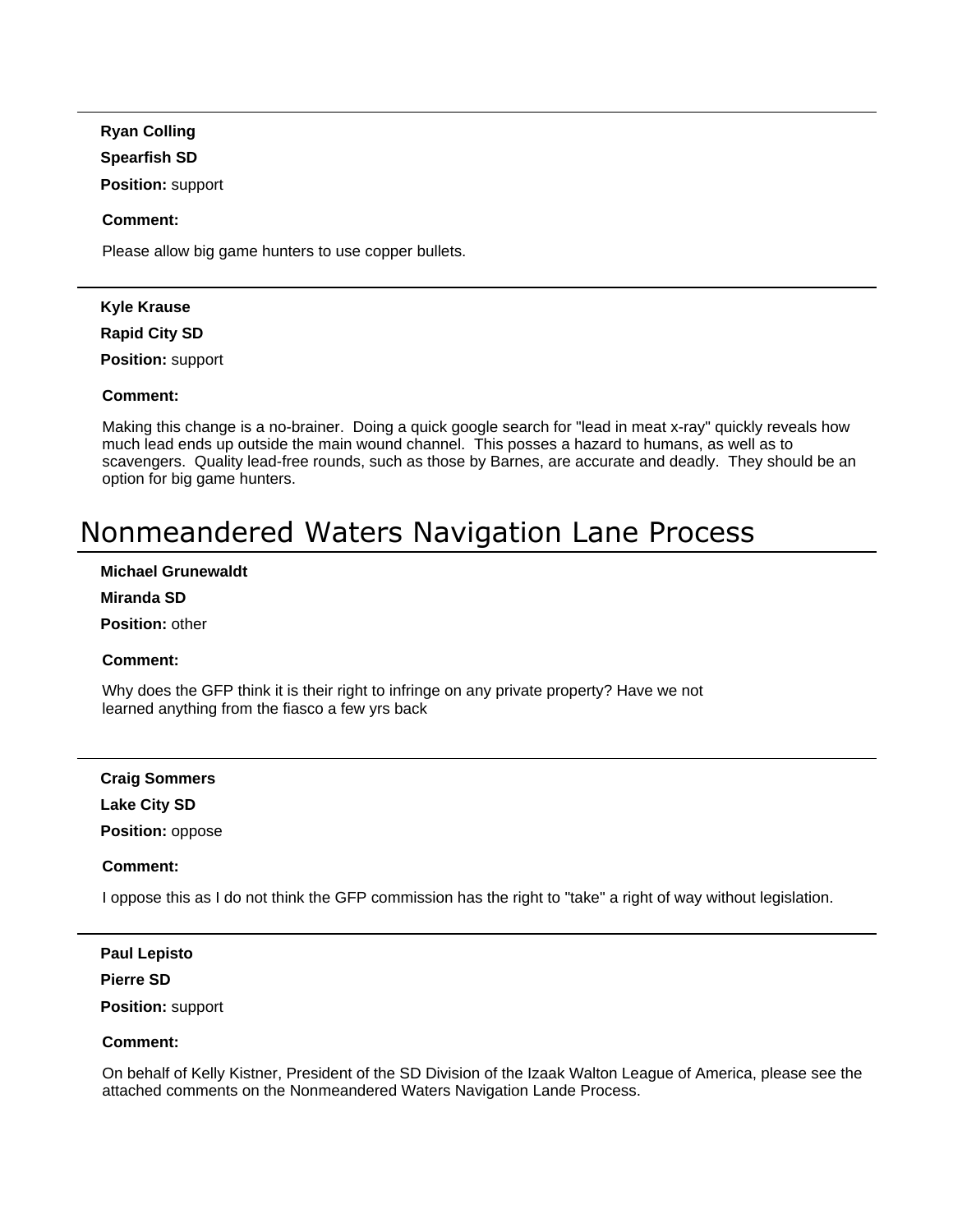**Ryan Colling**

## **Spearfish SD**

**Position:** support

# **Comment:**

Please allow big game hunters to use copper bullets.

# **Kyle Krause**

**Rapid City SD**

**Position:** support

# **Comment:**

Making this change is a no-brainer. Doing a quick google search for "lead in meat x-ray" quickly reveals how much lead ends up outside the main wound channel. This posses a hazard to humans, as well as to scavengers. Quality lead-free rounds, such as those by Barnes, are accurate and deadly. They should be an option for big game hunters.

# Nonmeandered Waters Navigation Lane Process

# **Michael Grunewaldt**

# **Miranda SD**

**Position:** other

# **Comment:**

Why does the GFP think it is their right to infringe on any private property? Have we not learned anything from the fiasco a few yrs back

# **Craig Sommers**

**Lake City SD**

**Position:** oppose

# **Comment:**

I oppose this as I do not think the GFP commission has the right to "take" a right of way without legislation.

# **Paul Lepisto**

# **Pierre SD**

**Position:** support

# **Comment:**

On behalf of Kelly Kistner, President of the SD Division of the Izaak Walton League of America, please see the attached comments on the Nonmeandered Waters Navigation Lande Process.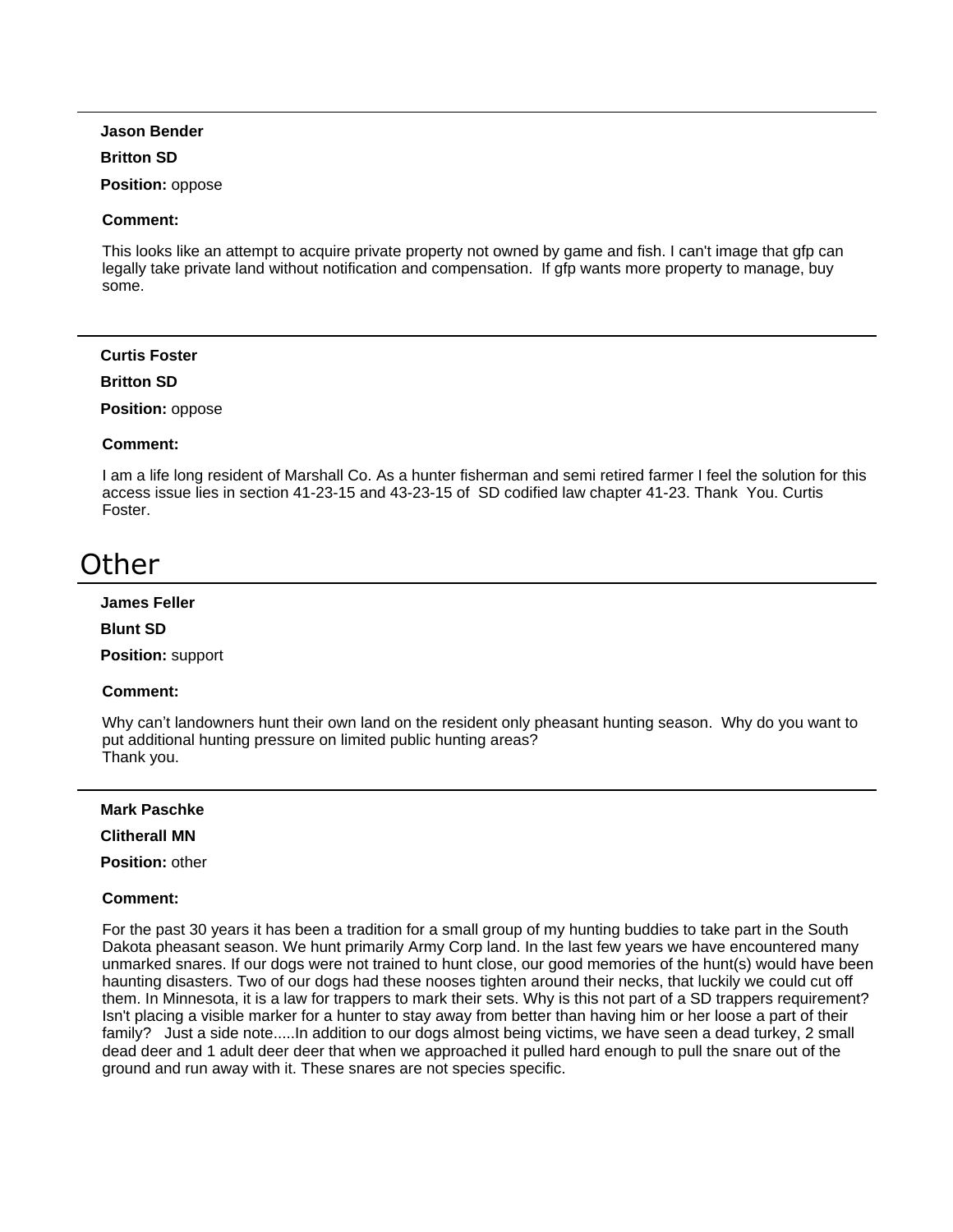#### **Jason Bender**

#### **Britton SD**

**Position:** oppose

#### **Comment:**

This looks like an attempt to acquire private property not owned by game and fish. I can't image that gfp can legally take private land without notification and compensation. If gfp wants more property to manage, buy some.

#### **Curtis Foster**

#### **Britton SD**

#### **Position:** oppose

#### **Comment:**

I am a life long resident of Marshall Co. As a hunter fisherman and semi retired farmer I feel the solution for this access issue lies in section 41-23-15 and 43-23-15 of SD codified law chapter 41-23. Thank You. Curtis Foster.

# **Other**

#### **James Feller**

#### **Blunt SD**

**Position:** support

#### **Comment:**

Why can't landowners hunt their own land on the resident only pheasant hunting season. Why do you want to put additional hunting pressure on limited public hunting areas? Thank you.

#### **Mark Paschke**

#### **Clitherall MN**

**Position:** other

#### **Comment:**

For the past 30 years it has been a tradition for a small group of my hunting buddies to take part in the South Dakota pheasant season. We hunt primarily Army Corp land. In the last few years we have encountered many unmarked snares. If our dogs were not trained to hunt close, our good memories of the hunt(s) would have been haunting disasters. Two of our dogs had these nooses tighten around their necks, that luckily we could cut off them. In Minnesota, it is a law for trappers to mark their sets. Why is this not part of a SD trappers requirement? Isn't placing a visible marker for a hunter to stay away from better than having him or her loose a part of their family? Just a side note.....In addition to our dogs almost being victims, we have seen a dead turkey, 2 small dead deer and 1 adult deer deer that when we approached it pulled hard enough to pull the snare out of the ground and run away with it. These snares are not species specific.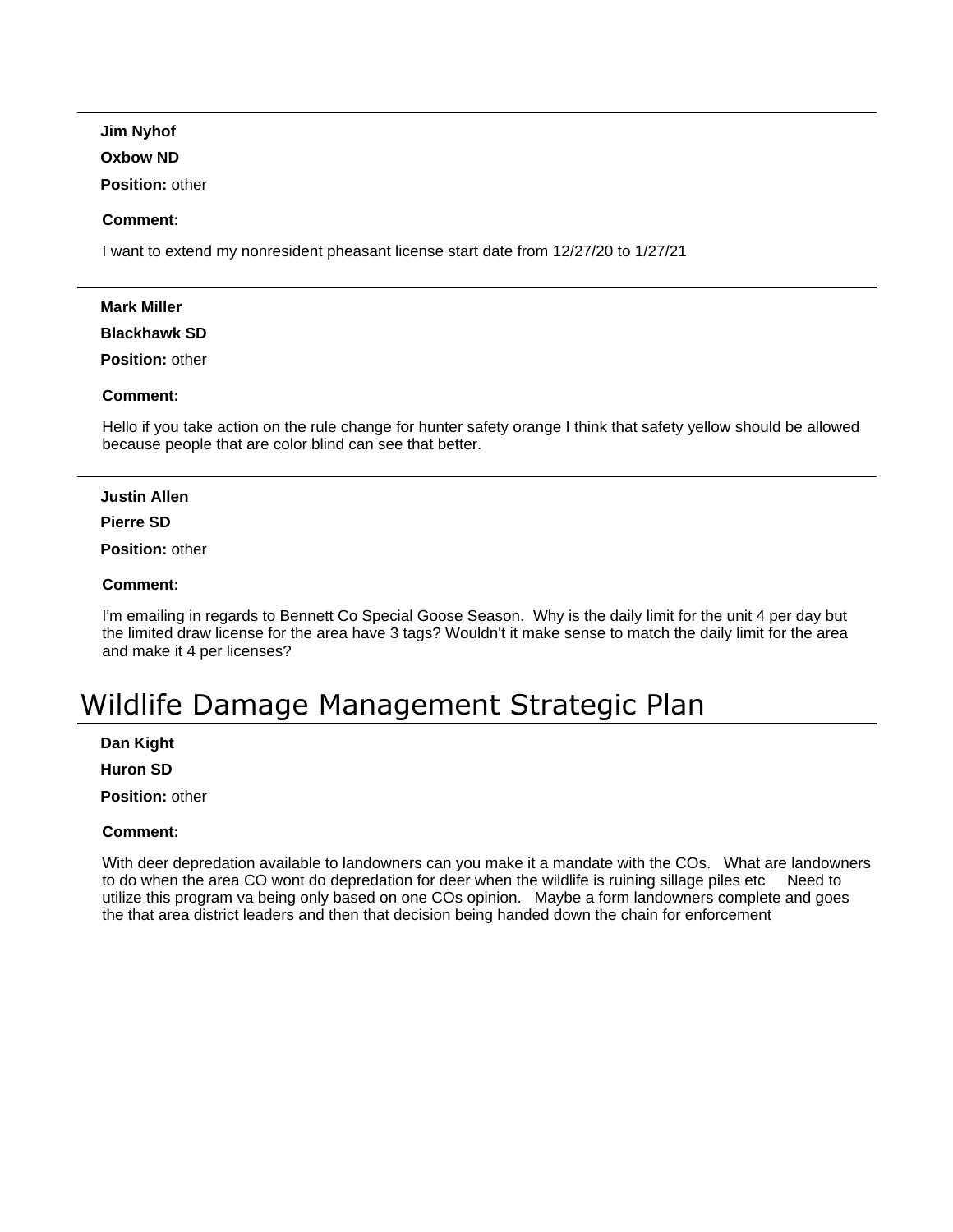**Jim Nyhof**

# **Oxbow ND**

**Position:** other

# **Comment:**

I want to extend my nonresident pheasant license start date from 12/27/20 to 1/27/21

# **Mark Miller**

# **Blackhawk SD**

**Position:** other

# **Comment:**

Hello if you take action on the rule change for hunter safety orange I think that safety yellow should be allowed because people that are color blind can see that better.

#### **Justin Allen**

# **Pierre SD**

**Position:** other

# **Comment:**

I'm emailing in regards to Bennett Co Special Goose Season. Why is the daily limit for the unit 4 per day but the limited draw license for the area have 3 tags? Wouldn't it make sense to match the daily limit for the area and make it 4 per licenses?

# Wildlife Damage Management Strategic Plan

**Dan Kight**

**Huron SD**

**Position:** other

# **Comment:**

With deer depredation available to landowners can you make it a mandate with the COs. What are landowners to do to do when the area CO wont do depredation for deer when the wildlife is ruining sillage piles etc utilize this program va being only based on one COs opinion. Maybe a form landowners complete and goes the that area district leaders and then that decision being handed down the chain for enforcement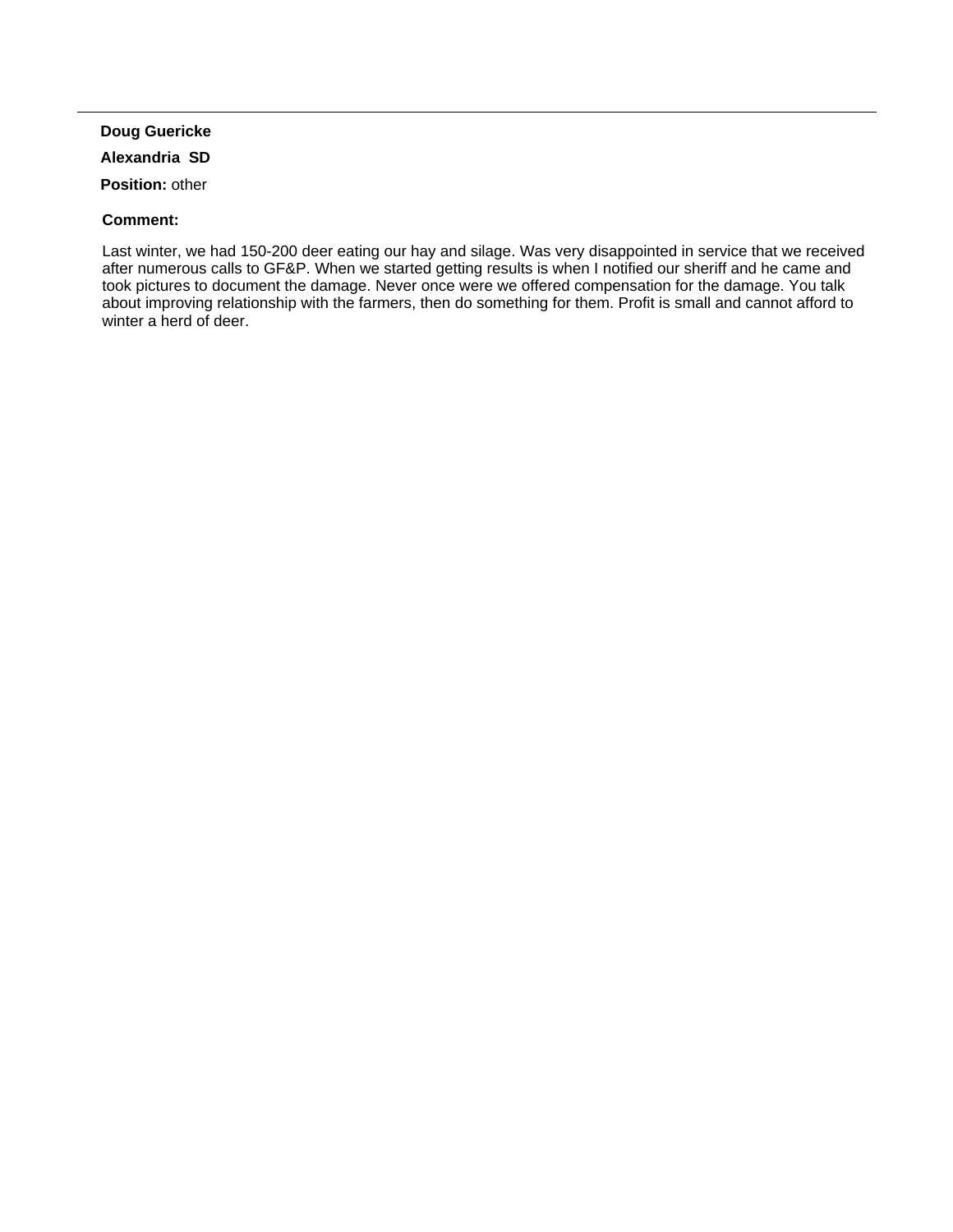# **Doug Guericke**

# **Alexandria SD**

**Position:** other

# **Comment:**

Last winter, we had 150-200 deer eating our hay and silage. Was very disappointed in service that we received after numerous calls to GF&P. When we started getting results is when I notified our sheriff and he came and took pictures to document the damage. Never once were we offered compensation for the damage. You talk about improving relationship with the farmers, then do something for them. Profit is small and cannot afford to winter a herd of deer.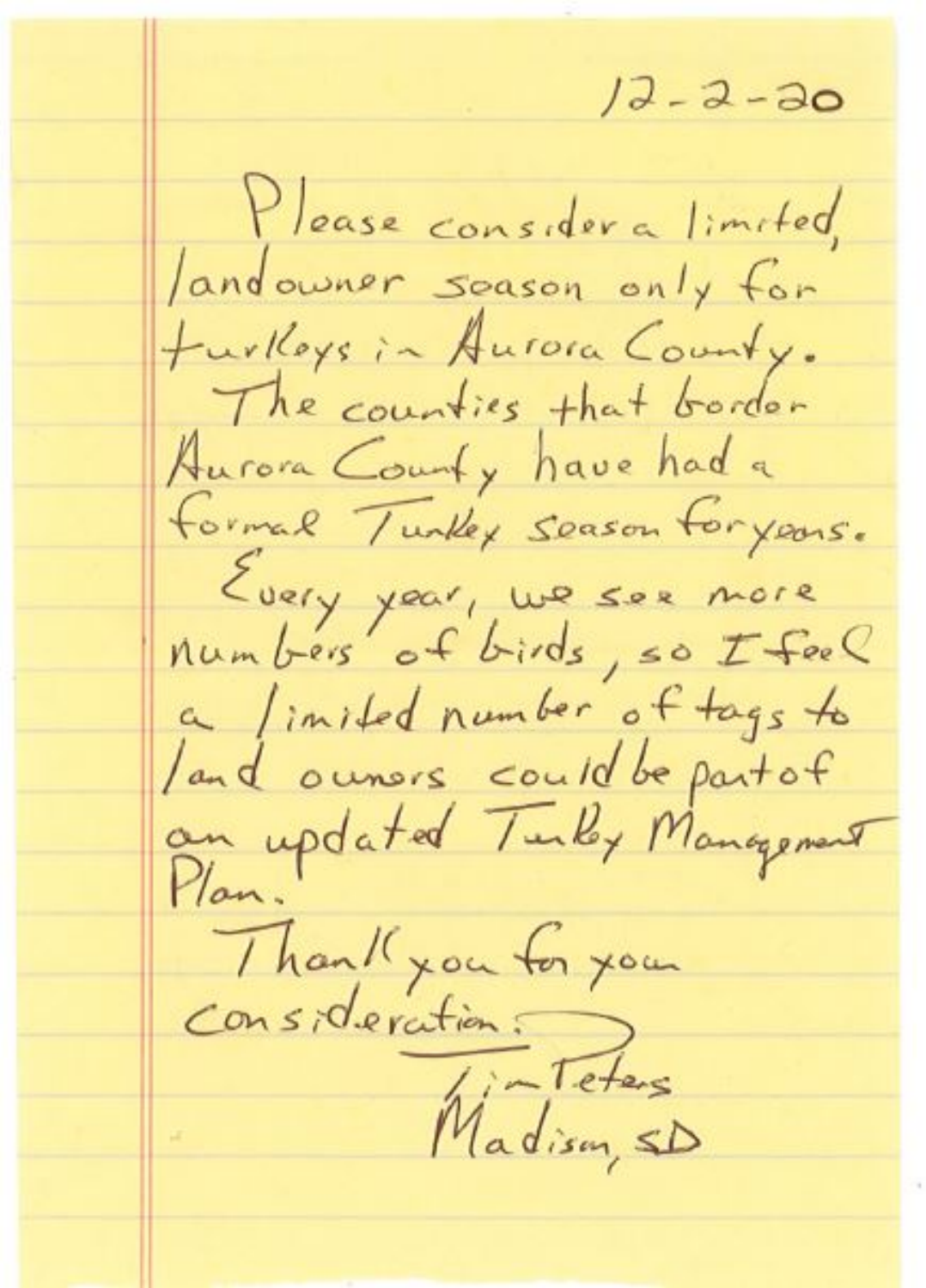$12 - 2 - 30$ Please consider a limited, andowner soason only for furthers in Autora County. The counties that bordon Aurora County have had a formal Tunkey season for years. Every your, we see more a limited number of tags to land owners could be part of an updated Turky Management Thank you for your<br>consideration. Teters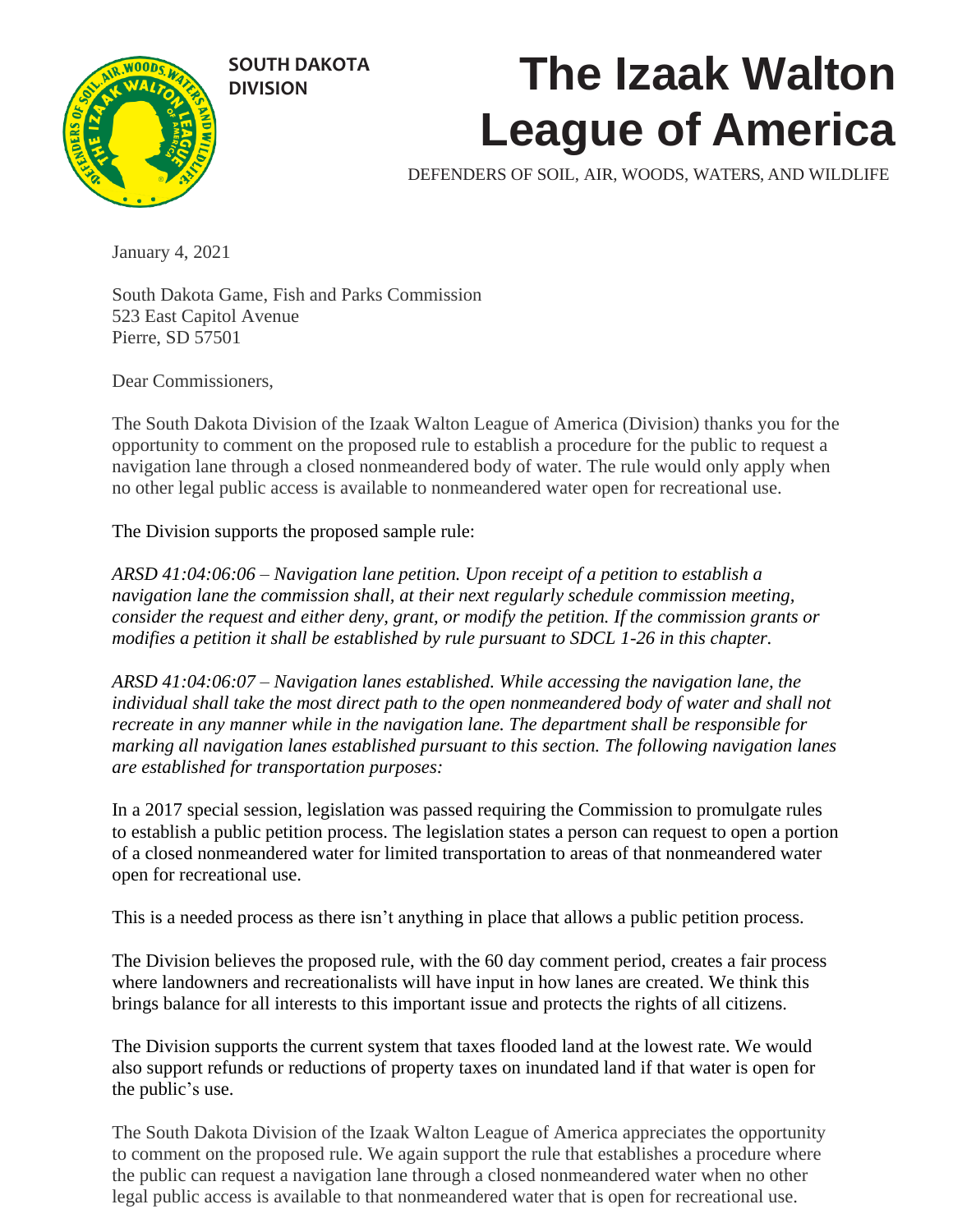

# **DIVISION The Izaak Walton League of America**

DEFENDERS OF SOIL, AIR, WOODS, WATERS, AND WILDLIFE

January 4, 2021

South Dakota Game, Fish and Parks Commission 523 East Capitol Avenue Pierre, SD 57501

Dear Commissioners,

The South Dakota Division of the Izaak Walton League of America (Division) thanks you for the opportunity to comment on the proposed rule to establish a procedure for the public to request a navigation lane through a closed nonmeandered body of water. The rule would only apply when no other legal public access is available to nonmeandered water open for recreational use.

The Division supports the proposed sample rule:

*ARSD 41:04:06:06 – Navigation lane petition. Upon receipt of a petition to establish a navigation lane the commission shall, at their next regularly schedule commission meeting, consider the request and either deny, grant, or modify the petition. If the commission grants or modifies a petition it shall be established by rule pursuant to SDCL 1-26 in this chapter.* 

*ARSD 41:04:06:07 – Navigation lanes established. While accessing the navigation lane, the individual shall take the most direct path to the open nonmeandered body of water and shall not recreate in any manner while in the navigation lane. The department shall be responsible for marking all navigation lanes established pursuant to this section. The following navigation lanes are established for transportation purposes:*

In a 2017 special session, legislation was passed requiring the Commission to promulgate rules to establish a public petition process. The legislation states a person can request to open a portion of a closed nonmeandered water for limited transportation to areas of that nonmeandered water open for recreational use.

This is a needed process as there isn't anything in place that allows a public petition process.

The Division believes the proposed rule, with the 60 day comment period, creates a fair process where landowners and recreationalists will have input in how lanes are created. We think this brings balance for all interests to this important issue and protects the rights of all citizens.

The Division supports the current system that taxes flooded land at the lowest rate. We would also support refunds or reductions of property taxes on inundated land if that water is open for the public's use.

The South Dakota Division of the Izaak Walton League of America appreciates the opportunity to comment on the proposed rule. We again support the rule that establishes a procedure where the public can request a navigation lane through a closed nonmeandered water when no other legal public access is available to that nonmeandered water that is open for recreational use.